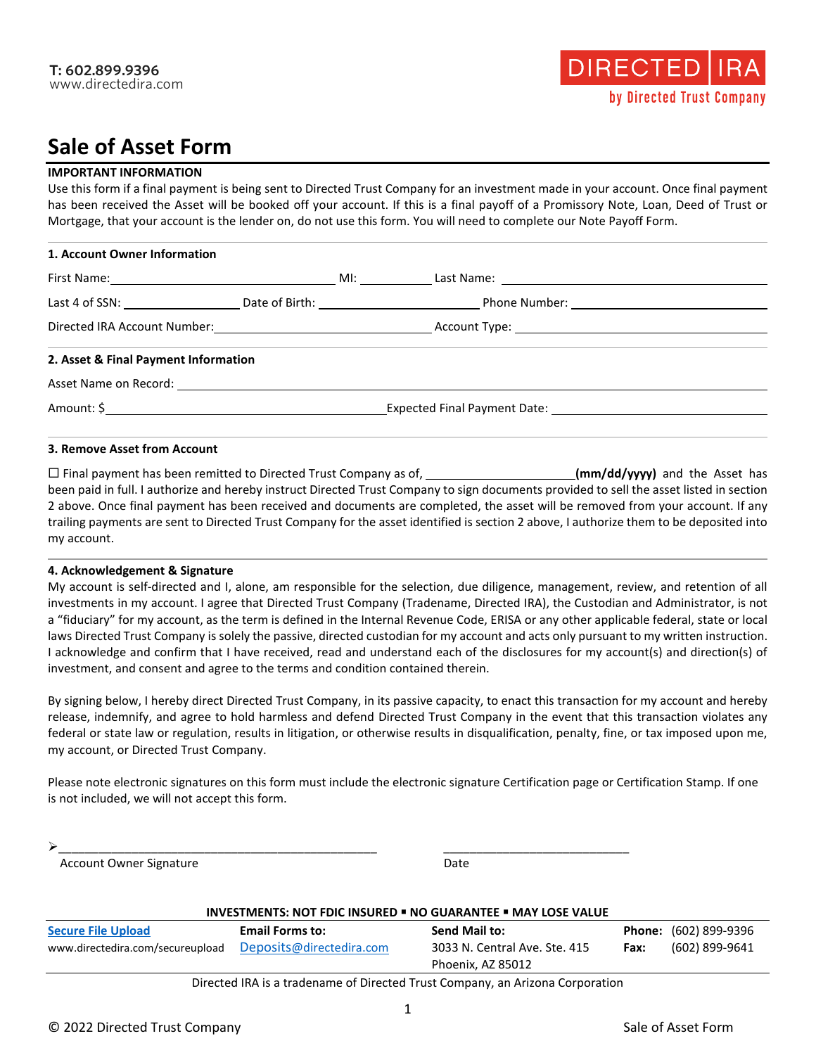# **Sale of Asset Form**

### **IMPORTANT INFORMATION**

Use this form if a final payment is being sent to Directed Trust Company for an investment made in your account. Once final payment has been received the Asset will be booked off your account. If this is a final payoff of a Promissory Note, Loan, Deed of Trust or Mortgage, that your account is the lender on, do not use this form. You will need to complete our Note Payoff Form.

| 1. Account Owner Information         |  |  |  |
|--------------------------------------|--|--|--|
|                                      |  |  |  |
|                                      |  |  |  |
|                                      |  |  |  |
| 2. Asset & Final Payment Information |  |  |  |
|                                      |  |  |  |
|                                      |  |  |  |

#### **3. Remove Asset from Account**

□ Final payment has been remitted to Directed Trust Company as of, **(immaginal company of the Asset has and the Asset has** been paid in full. I authorize and hereby instruct Directed Trust Company to sign documents provided to sell the asset listed in section 2 above. Once final payment has been received and documents are completed, the asset will be removed from your account. If any trailing payments are sent to Directed Trust Company for the asset identified is section 2 above, I authorize them to be deposited into my account.

#### **4. Acknowledgement & Signature**

My account is self-directed and I, alone, am responsible for the selection, due diligence, management, review, and retention of all investments in my account. I agree that Directed Trust Company (Tradename, Directed IRA), the Custodian and Administrator, is not a "fiduciary" for my account, as the term is defined in the Internal Revenue Code, ERISA or any other applicable federal, state or local laws Directed Trust Company is solely the passive, directed custodian for my account and acts only pursuant to my written instruction. I acknowledge and confirm that I have received, read and understand each of the disclosures for my account(s) and direction(s) of investment, and consent and agree to the terms and condition contained therein.

By signing below, I hereby direct Directed Trust Company, in its passive capacity, to enact this transaction for my account and hereby release, indemnify, and agree to hold harmless and defend Directed Trust Company in the event that this transaction violates any federal or state law or regulation, results in litigation, or otherwise results in disqualification, penalty, fine, or tax imposed upon me, my account, or Directed Trust Company.

Please note electronic signatures on this form must include the electronic signature Certification page or Certification Stamp. If one is not included, we will not accept this form.

Account Owner Signature **Date** Date **Date** 

| <b>INVESTMENTS: NOT FDIC INSURED . NO GUARANTEE . MAY LOSE VALUE</b>          |                          |                               |      |                              |
|-------------------------------------------------------------------------------|--------------------------|-------------------------------|------|------------------------------|
| <b>Secure File Upload</b>                                                     | <b>Email Forms to:</b>   | <b>Send Mail to:</b>          |      | <b>Phone:</b> (602) 899-9396 |
| www.directedira.com/secureupload                                              | Deposits@directedira.com | 3033 N. Central Ave. Ste. 415 | Fax: | (602) 899-9641               |
|                                                                               |                          | Phoenix, AZ 85012             |      |                              |
| Directed IRA is a tradename of Directed Trust Company, an Arizona Corporation |                          |                               |      |                              |